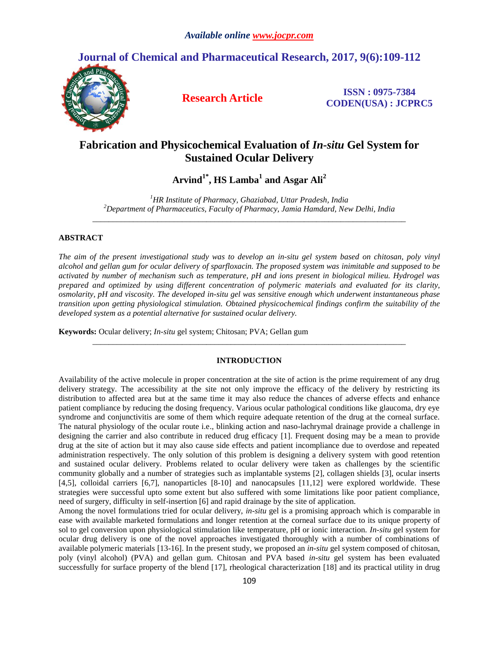# **Journal of Chemical and Pharmaceutical Research, 2017, 9(6):109-112**



**Research Article ISSN : 0975-7384 CODEN(USA) : JCPRC5**

# **Fabrication and Physicochemical Evaluation of** *In-situ* **Gel System for Sustained Ocular Delivery**

**Arvind1\*, HS Lamba<sup>1</sup> and Asgar Ali<sup>2</sup>**

*<sup>1</sup>HR Institute of Pharmacy, Ghaziabad, Uttar Pradesh, India <sup>2</sup>Department of Pharmaceutics, Faculty of Pharmacy, Jamia Hamdard, New Delhi, India \_\_\_\_\_\_\_\_\_\_\_\_\_\_\_\_\_\_\_\_\_\_\_\_\_\_\_\_\_\_\_\_\_\_\_\_\_\_\_\_\_\_\_\_\_\_\_\_\_\_\_\_\_\_\_\_\_\_\_\_\_\_\_\_\_\_\_\_\_\_\_\_\_\_\_\_\_*

# **ABSTRACT**

*The aim of the present investigational study was to develop an in-situ gel system based on chitosan, poly vinyl alcohol and gellan gum for ocular delivery of sparfloxacin. The proposed system was inimitable and supposed to be activated by number of mechanism such as temperature, pH and ions present in biological milieu. Hydrogel was prepared and optimized by using different concentration of polymeric materials and evaluated for its clarity, osmolarity, pH and viscosity. The developed in-situ gel was sensitive enough which underwent instantaneous phase transition upon getting physiological stimulation. Obtained physicochemical findings confirm the suitability of the developed system as a potential alternative for sustained ocular delivery.*

**Keywords:** Ocular delivery; *In-situ* gel system; Chitosan; PVA; Gellan gum

# **INTRODUCTION**

*\_\_\_\_\_\_\_\_\_\_\_\_\_\_\_\_\_\_\_\_\_\_\_\_\_\_\_\_\_\_\_\_\_\_\_\_\_\_\_\_\_\_\_\_\_\_\_\_\_\_\_\_\_\_\_\_\_\_\_\_\_\_\_\_\_\_\_\_\_\_\_\_\_\_\_\_\_*

Availability of the active molecule in proper concentration at the site of action is the prime requirement of any drug delivery strategy. The accessibility at the site not only improve the efficacy of the delivery by restricting its distribution to affected area but at the same time it may also reduce the chances of adverse effects and enhance patient compliance by reducing the dosing frequency. Various ocular pathological conditions like glaucoma, dry eye syndrome and conjunctivitis are some of them which require adequate retention of the drug at the corneal surface. The natural physiology of the ocular route i.e., blinking action and naso-lachrymal drainage provide a challenge in designing the carrier and also contribute in reduced drug efficacy [1]. Frequent dosing may be a mean to provide drug at the site of action but it may also cause side effects and patient incompliance due to overdose and repeated administration respectively. The only solution of this problem is designing a delivery system with good retention and sustained ocular delivery. Problems related to ocular delivery were taken as challenges by the scientific community globally and a number of strategies such as implantable systems [2], collagen shields [3], ocular inserts [4,5], colloidal carriers [6,7], nanoparticles [8-10] and nanocapsules [11,12] were explored worldwide. These strategies were successful upto some extent but also suffered with some limitations like poor patient compliance, need of surgery, difficulty in self-insertion [6] and rapid drainage by the site of application.

Among the novel formulations tried for ocular delivery, *in-situ* gel is a promising approach which is comparable in ease with available marketed formulations and longer retention at the corneal surface due to its unique property of sol to gel conversion upon physiological stimulation like temperature, pH or ionic interaction. *In-situ* gel system for ocular drug delivery is one of the novel approaches investigated thoroughly with a number of combinations of available polymeric materials [13-16]. In the present study, we proposed an *in-situ* gel system composed of chitosan, poly (vinyl alcohol) (PVA) and gellan gum. Chitosan and PVA based *in-situ* gel system has been evaluated successfully for surface property of the blend [17], rheological characterization [18] and its practical utility in drug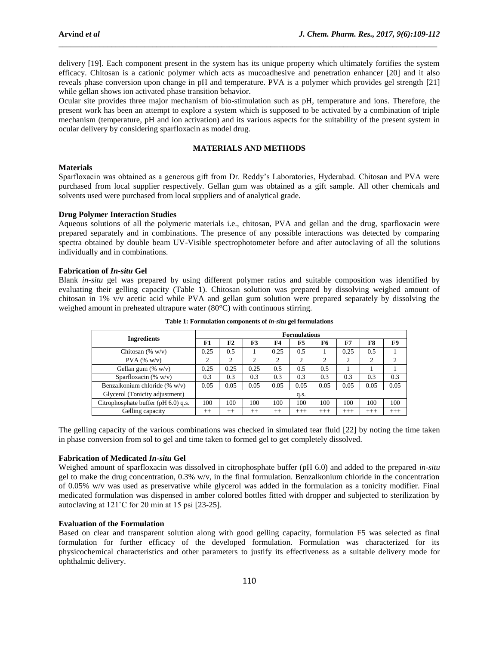delivery [19]. Each component present in the system has its unique property which ultimately fortifies the system efficacy. Chitosan is a cationic polymer which acts as mucoadhesive and penetration enhancer [20] and it also reveals phase conversion upon change in pH and temperature. PVA is a polymer which provides gel strength [21] while gellan shows ion activated phase transition behavior.

\_\_\_\_\_\_\_\_\_\_\_\_\_\_\_\_\_\_\_\_\_\_\_\_\_\_\_\_\_\_\_\_\_\_\_\_\_\_\_\_\_\_\_\_\_\_\_\_\_\_\_\_\_\_\_\_\_\_\_\_\_\_\_\_\_\_\_\_\_\_\_\_\_\_\_\_\_\_\_\_\_\_\_\_\_\_\_\_\_\_\_\_\_

Ocular site provides three major mechanism of bio-stimulation such as pH, temperature and ions. Therefore, the present work has been an attempt to explore a system which is supposed to be activated by a combination of triple mechanism (temperature, pH and ion activation) and its various aspects for the suitability of the present system in ocular delivery by considering sparfloxacin as model drug.

# **MATERIALS AND METHODS**

### **Materials**

Sparfloxacin was obtained as a generous gift from Dr. Reddy's Laboratories, Hyderabad. Chitosan and PVA were purchased from local supplier respectively. Gellan gum was obtained as a gift sample. All other chemicals and solvents used were purchased from local suppliers and of analytical grade.

## **Drug Polymer Interaction Studies**

Aqueous solutions of all the polymeric materials i.e., chitosan, PVA and gellan and the drug, sparfloxacin were prepared separately and in combinations. The presence of any possible interactions was detected by comparing spectra obtained by double beam UV-Visible spectrophotometer before and after autoclaving of all the solutions individually and in combinations.

### **Fabrication of** *In-situ* **Gel**

Blank *in-situ* gel was prepared by using different polymer ratios and suitable composition was identified by evaluating their gelling capacity (Table 1). Chitosan solution was prepared by dissolving weighed amount of chitosan in 1% v/v acetic acid while PVA and gellan gum solution were prepared separately by dissolving the weighed amount in preheated ultrapure water (80°C) with continuous stirring.

| <b>Ingredients</b>                  | <b>Formulations</b> |                |      |         |       |       |       |                |       |
|-------------------------------------|---------------------|----------------|------|---------|-------|-------|-------|----------------|-------|
|                                     | F1                  | F <sub>2</sub> | F3   | F4      | F5    | F6    | F7    | F8             | F9    |
| Chitosan $(\% w/v)$                 | 0.25                | 0.5            |      | 0.25    | 0.5   |       | 0.25  | 0.5            |       |
| $PVA$ (% w/v)                       | ◠                   | $\sim$         | ◠    | ◠       | ◠     | ◠     | ◠     | $\overline{c}$ | ↑     |
| Gellan gum (% $w/v$ )               | 0.25                | 0.25           | 0.25 | 0.5     | 0.5   | 0.5   |       |                |       |
| Sparfloxacin (% $w/v$ )             | 0.3                 | 0.3            | 0.3  | 0.3     | 0.3   | 0.3   | 0.3   | 0.3            | 0.3   |
| Benzalkonium chloride (% w/v)       | 0.05                | 0.05           | 0.05 | 0.05    | 0.05  | 0.05  | 0.05  | 0.05           | 0.05  |
| Glycerol (Tonicity adjustment)      | q.s.                |                |      |         |       |       |       |                |       |
| Citrophosphate buffer (pH 6.0) q.s. | 100                 | 100            | 100  | 100     | 100   | 100   | 100   | 100            | 100   |
| Gelling capacity                    | $++$                | $++$           | $++$ | $^{++}$ | $+++$ | $+++$ | $+++$ | $+++$          | $+++$ |

**Table 1: Formulation components of** *in-situ* **gel formulations**

The gelling capacity of the various combinations was checked in simulated tear fluid [22] by noting the time taken in phase conversion from sol to gel and time taken to formed gel to get completely dissolved.

# **Fabrication of Medicated** *In-situ* **Gel**

Weighed amount of sparfloxacin was dissolved in citrophosphate buffer (pH 6.0) and added to the prepared *in-situ* gel to make the drug concentration, 0.3% w/v, in the final formulation. Benzalkonium chloride in the concentration of 0.05% w/v was used as preservative while glycerol was added in the formulation as a tonicity modifier. Final medicated formulation was dispensed in amber colored bottles fitted with dropper and subjected to sterilization by autoclaving at 121˚C for 20 min at 15 psi [23-25].

# **Evaluation of the Formulation**

Based on clear and transparent solution along with good gelling capacity, formulation F5 was selected as final formulation for further efficacy of the developed formulation. Formulation was characterized for its physicochemical characteristics and other parameters to justify its effectiveness as a suitable delivery mode for ophthalmic delivery.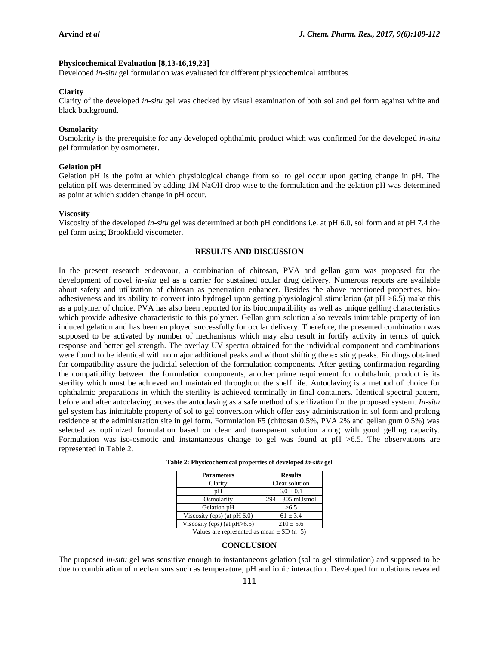# **Physicochemical Evaluation [8,13-16,19,23]**

Developed *in-situ* gel formulation was evaluated for different physicochemical attributes.

### **Clarity**

Clarity of the developed *in-situ* gel was checked by visual examination of both sol and gel form against white and black background.

\_\_\_\_\_\_\_\_\_\_\_\_\_\_\_\_\_\_\_\_\_\_\_\_\_\_\_\_\_\_\_\_\_\_\_\_\_\_\_\_\_\_\_\_\_\_\_\_\_\_\_\_\_\_\_\_\_\_\_\_\_\_\_\_\_\_\_\_\_\_\_\_\_\_\_\_\_\_\_\_\_\_\_\_\_\_\_\_\_\_\_\_\_

### **Osmolarity**

Osmolarity is the prerequisite for any developed ophthalmic product which was confirmed for the developed *in-situ* gel formulation by osmometer.

# **Gelation pH**

Gelation pH is the point at which physiological change from sol to gel occur upon getting change in pH. The gelation pH was determined by adding 1M NaOH drop wise to the formulation and the gelation pH was determined as point at which sudden change in pH occur.

#### **Viscosity**

Viscosity of the developed *in-situ* gel was determined at both pH conditions i.e. at pH 6.0, sol form and at pH 7.4 the gel form using Brookfield viscometer.

#### **RESULTS AND DISCUSSION**

In the present research endeavour, a combination of chitosan, PVA and gellan gum was proposed for the development of novel *in-situ* gel as a carrier for sustained ocular drug delivery. Numerous reports are available about safety and utilization of chitosan as penetration enhancer. Besides the above mentioned properties, bioadhesiveness and its ability to convert into hydrogel upon getting physiological stimulation (at pH >6.5) make this as a polymer of choice. PVA has also been reported for its biocompatibility as well as unique gelling characteristics which provide adhesive characteristic to this polymer. Gellan gum solution also reveals inimitable property of ion induced gelation and has been employed successfully for ocular delivery. Therefore, the presented combination was supposed to be activated by number of mechanisms which may also result in fortify activity in terms of quick response and better gel strength. The overlay UV spectra obtained for the individual component and combinations were found to be identical with no major additional peaks and without shifting the existing peaks. Findings obtained for compatibility assure the judicial selection of the formulation components. After getting confirmation regarding the compatibility between the formulation components, another prime requirement for ophthalmic product is its sterility which must be achieved and maintained throughout the shelf life. Autoclaving is a method of choice for ophthalmic preparations in which the sterility is achieved terminally in final containers. Identical spectral pattern, before and after autoclaving proves the autoclaving as a safe method of sterilization for the proposed system. *In-situ* gel system has inimitable property of sol to gel conversion which offer easy administration in sol form and prolong residence at the administration site in gel form. Formulation F5 (chitosan 0.5%, PVA 2% and gellan gum 0.5%) was selected as optimized formulation based on clear and transparent solution along with good gelling capacity. Formulation was iso-osmotic and instantaneous change to gel was found at pH >6.5. The observations are represented in Table 2.

| Table 2: Physicochemical properties of developed in-situ gel |  |
|--------------------------------------------------------------|--|
|                                                              |  |

| <b>Parameters</b>               | <b>Results</b>     |  |  |  |
|---------------------------------|--------------------|--|--|--|
| Clarity                         | Clear solution     |  |  |  |
| pН                              | $6.0 + 0.1$        |  |  |  |
| Osmolarity                      | $294 - 305$ mOsmol |  |  |  |
| Gelation pH                     | >6.5               |  |  |  |
| Viscosity (cps) (at $pH(6.0)$ ) | $61 + 3.4$         |  |  |  |
| Viscosity (cps) (at $pH>6.5$ )  | $210 + 5.6$        |  |  |  |
|                                 |                    |  |  |  |

Values are represented as mean  $\pm$  SD (n=5)

# **CONCLUSION**

The proposed *in-situ* gel was sensitive enough to instantaneous gelation (sol to gel stimulation) and supposed to be due to combination of mechanisms such as temperature, pH and ionic interaction. Developed formulations revealed